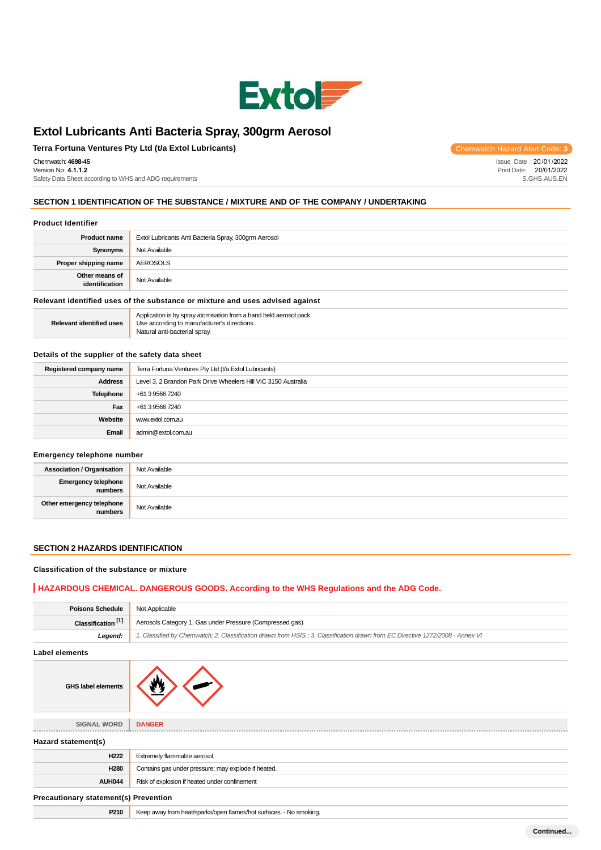

Use according to manufacturer's directions.

Natural anti-bacterial spray.

# **Terra Fortuna Ventures Pty Ltd (t/a Extol Lubricants)** Chemwatch Hazard Alert Code: 3

Chemwatch: **4698-45**

Version No: **4.1.1.2** Safety Data Sheet according to WHS and ADG requirements Issue Date : 20 /01 /2022 Print Date: 20/01/2022

S.GHS.AUS.EN

## **SECTION 1 IDENTIFICATION OF THE SUBSTANCE / MIXTURE AND OF THE COMPANY / UNDERTAKING**

#### **Product Identifier**

| <b>Product name</b>                                                           | Extol Lubricants Anti Bacteria Spray, 300grm Aerosol              |
|-------------------------------------------------------------------------------|-------------------------------------------------------------------|
| Synonyms                                                                      | Not Available                                                     |
| Proper shipping name                                                          | <b>AEROSOLS</b>                                                   |
| Other means of<br>identification                                              | Not Available                                                     |
| Relevant identified uses of the substance or mixture and uses advised against |                                                                   |
|                                                                               | Application is by spray atomisation from a hand held aerosol pack |

**Relevant identified uses**

#### **Details of the supplier of the safety data sheet**

| Registered company name | Terra Fortuna Ventures Pty Ltd (t/a Extol Lubricants)          |
|-------------------------|----------------------------------------------------------------|
| <b>Address</b>          | Level 3, 2 Brandon Park Drive Wheelers Hill VIC 3150 Australia |
| Telephone               | +61 3 9566 7240                                                |
| Fax                     | +61 3 9566 7240                                                |
| Website                 | www.extol.com.au                                               |
| Email                   | admin@extol.com.au                                             |

#### **Emergency telephone number**

| __                                   |               |
|--------------------------------------|---------------|
| <b>Association / Organisation</b>    | Not Available |
| Emergency telephone<br>numbers       | Not Available |
| Other emergency telephone<br>numbers | Not Available |

# **SECTION 2 HAZARDS IDENTIFICATION**

#### **Classification of the substance or mixture**

### **HAZARDOUS CHEMICAL. DANGEROUS GOODS. According to the WHS Regulations and the ADG Code.**

| <b>Poisons Schedule</b>               | Not Applicable                                                                                                                |
|---------------------------------------|-------------------------------------------------------------------------------------------------------------------------------|
| Classification <sup>[1]</sup>         | Aerosols Category 1, Gas under Pressure (Compressed gas)                                                                      |
| Legend:                               | 1. Classified by Chemwatch; 2. Classification drawn from HSIS; 3. Classification drawn from EC Directive 1272/2008 - Annex VI |
| <b>Label elements</b>                 |                                                                                                                               |
| <b>GHS label elements</b>             |                                                                                                                               |
|                                       |                                                                                                                               |
| <b>SIGNAL WORD</b>                    | <b>DANGER</b>                                                                                                                 |
| Hazard statement(s)                   |                                                                                                                               |
| H222                                  | Extremely flammable aerosol.                                                                                                  |
| H280                                  | Contains gas under pressure; may explode if heated.                                                                           |
| <b>AUH044</b>                         | Risk of explosion if heated under confinement                                                                                 |
| Precautionary statement(s) Prevention |                                                                                                                               |
| P210                                  | Keep away from heat/sparks/open flames/hot surfaces. - No smoking.                                                            |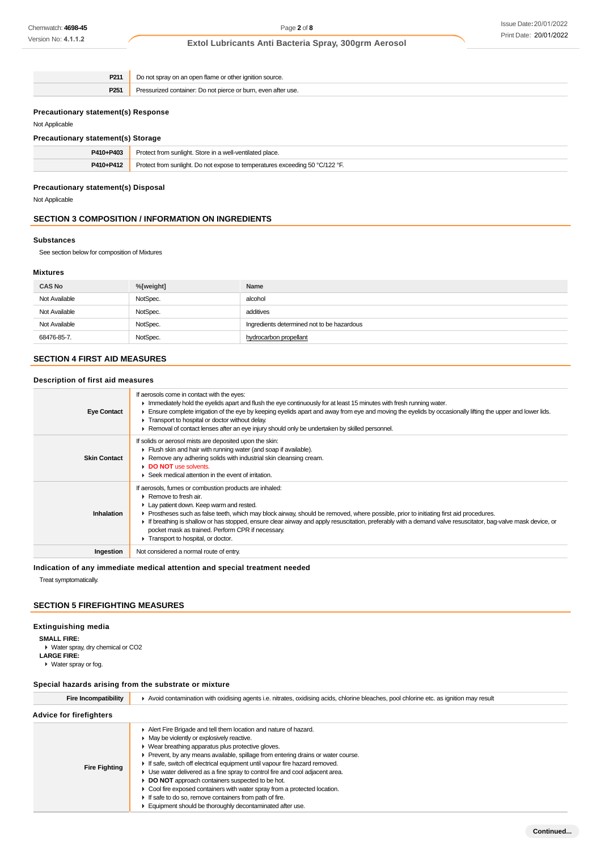| P211                                       | Do not spray on an open flame or other ignition source.       |
|--------------------------------------------|---------------------------------------------------------------|
| P <sub>251</sub>                           | Pressurized container: Do not pierce or burn, even after use. |
|                                            |                                                               |
| <b>Precautionary statement(s) Response</b> |                                                               |
| Not Applicable                             |                                                               |
| <b>Precautionary statement(s) Storage</b>  |                                                               |

| recautionary statements) otorage |                                                                              |
|----------------------------------|------------------------------------------------------------------------------|
| P410+P403                        | Protect from sunlight. Store in a well-ventilated place.                     |
| P410+P412                        | Protect from sunlight. Do not expose to temperatures exceeding 50 °C/122 °F. |
|                                  |                                                                              |

## **Precautionary statement(s) Disposal**

Not Applicable

### **SECTION 3 COMPOSITION / INFORMATION ON INGREDIENTS**

#### **Substances**

See section below for composition of Mixtures

#### **Mixtures**

| <b>CAS No</b> | %[weight] | Name                                       |
|---------------|-----------|--------------------------------------------|
| Not Available | NotSpec.  | alcohol                                    |
| Not Available | NotSpec.  | additives                                  |
| Not Available | NotSpec.  | Ingredients determined not to be hazardous |
| 68476-85-7.   | NotSpec.  | hydrocarbon propellant                     |

## **SECTION 4 FIRST AID MEASURES**

## **Description of first aid measures**

| <b>Eye Contact</b>  | If aerosols come in contact with the eyes:<br>In mediately hold the eyelids apart and flush the eye continuously for at least 15 minutes with fresh running water.<br>Ensure complete irrigation of the eye by keeping eyelids apart and away from eye and moving the eyelids by occasionally lifting the upper and lower lids.<br>Transport to hospital or doctor without delay.<br>► Removal of contact lenses after an eye injury should only be undertaken by skilled personnel.                                                          |
|---------------------|-----------------------------------------------------------------------------------------------------------------------------------------------------------------------------------------------------------------------------------------------------------------------------------------------------------------------------------------------------------------------------------------------------------------------------------------------------------------------------------------------------------------------------------------------|
| <b>Skin Contact</b> | If solids or aerosol mists are deposited upon the skin:<br>Flush skin and hair with running water (and soap if available).<br>▶ Remove any adhering solids with industrial skin cleansing cream.<br>DO NOT use solvents.<br>$\blacktriangleright$ Seek medical attention in the event of irritation.                                                                                                                                                                                                                                          |
| <b>Inhalation</b>   | If aerosols, fumes or combustion products are inhaled:<br>$\triangleright$ Remove to fresh air.<br>Lay patient down. Keep warm and rested.<br>▶ Prostheses such as false teeth, which may block airway, should be removed, where possible, prior to initiating first aid procedures.<br>If breathing is shallow or has stopped, ensure clear airway and apply resuscitation, preferably with a demand valve resuscitator, bag-valve mask device, or<br>pocket mask as trained. Perform CPR if necessary.<br>Transport to hospital, or doctor. |
| Ingestion           | Not considered a normal route of entry.                                                                                                                                                                                                                                                                                                                                                                                                                                                                                                       |

**Indication of any immediate medical attention and special treatment needed**

Treat symptomatically.

### **SECTION 5 FIREFIGHTING MEASURES**

## **Extinguishing media**

**SMALL FIRE:**

- Water spray, dry chemical or CO2 **LARGE FIRE:**
- Water spray or fog.

### **Special hazards arising from the substrate or mixture**

| <b>Fire Incompatibility</b>    | Avoid contamination with oxidising agents i.e. nitrates, oxidising acids, chlorine bleaches, pool chlorine etc. as ignition may result                                                                                                                                                                                                                                                                                                                                                                                                                                                                                                                                                              |  |
|--------------------------------|-----------------------------------------------------------------------------------------------------------------------------------------------------------------------------------------------------------------------------------------------------------------------------------------------------------------------------------------------------------------------------------------------------------------------------------------------------------------------------------------------------------------------------------------------------------------------------------------------------------------------------------------------------------------------------------------------------|--|
| <b>Advice for firefighters</b> |                                                                                                                                                                                                                                                                                                                                                                                                                                                                                                                                                                                                                                                                                                     |  |
| <b>Fire Fighting</b>           | Alert Fire Brigade and tell them location and nature of hazard.<br>$\blacktriangleright$ May be violently or explosively reactive.<br>• Wear breathing apparatus plus protective gloves.<br>► Prevent, by any means available, spillage from entering drains or water course.<br>If safe, switch off electrical equipment until vapour fire hazard removed.<br>• Use water delivered as a fine spray to control fire and cool adjacent area.<br>DO NOT approach containers suspected to be hot.<br>• Cool fire exposed containers with water spray from a protected location.<br>If safe to do so, remove containers from path of fire.<br>Equipment should be thoroughly decontaminated after use. |  |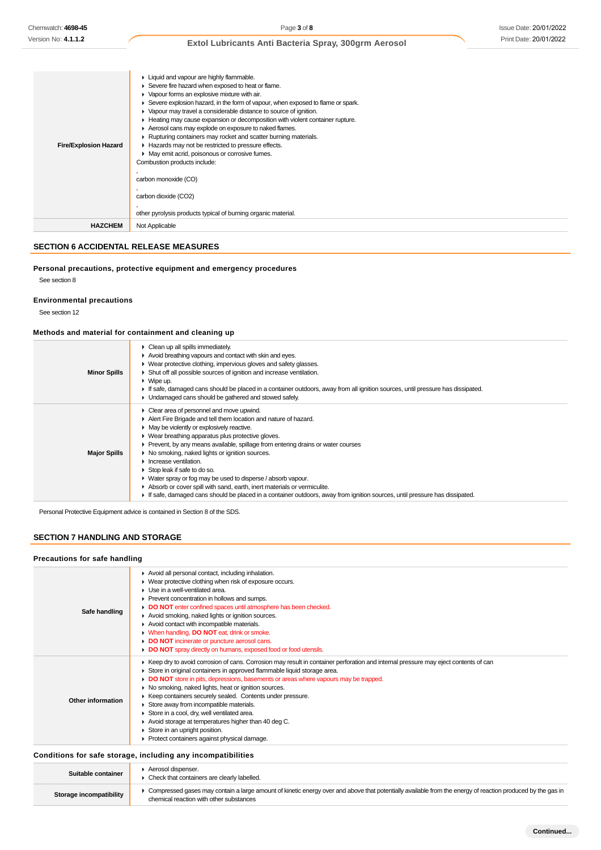| <b>Fire/Explosion Hazard</b> | Liquid and vapour are highly flammable.<br>Severe fire hazard when exposed to heat or flame.<br>• Vapour forms an explosive mixture with air.<br>Severe explosion hazard, in the form of vapour, when exposed to flame or spark.<br>• Vapour may travel a considerable distance to source of ignition.<br>Heating may cause expansion or decomposition with violent container rupture.<br>Aerosol cans may explode on exposure to naked flames.<br>▶ Rupturing containers may rocket and scatter burning materials.<br>Hazards may not be restricted to pressure effects.<br>• May emit acrid, poisonous or corrosive fumes.<br>Combustion products include:<br>carbon monoxide (CO)<br>carbon dioxide (CO2)<br>other pyrolysis products typical of burning organic material. |
|------------------------------|-------------------------------------------------------------------------------------------------------------------------------------------------------------------------------------------------------------------------------------------------------------------------------------------------------------------------------------------------------------------------------------------------------------------------------------------------------------------------------------------------------------------------------------------------------------------------------------------------------------------------------------------------------------------------------------------------------------------------------------------------------------------------------|
| <b>HAZCHEM</b>               | Not Applicable                                                                                                                                                                                                                                                                                                                                                                                                                                                                                                                                                                                                                                                                                                                                                                |

### **SECTION 6 ACCIDENTAL RELEASE MEASURES**

### **Personal precautions, protective equipment and emergency procedures** See section 8

# **Environmental precautions**

See section 12

### **Methods and material for containment and cleaning up**

| <b>Minor Spills</b> | Clean up all spills immediately.<br>۰.<br>Avoid breathing vapours and contact with skin and eyes.<br>• Wear protective clothing, impervious gloves and safety glasses.<br>• Shut off all possible sources of ignition and increase ventilation.<br>$\triangleright$ Wipe up.<br>If safe, damaged cans should be placed in a container outdoors, away from all ignition sources, until pressure has dissipated.<br>Undamaged cans should be gathered and stowed safely.                                                                                                                                                                                                                                                              |
|---------------------|-------------------------------------------------------------------------------------------------------------------------------------------------------------------------------------------------------------------------------------------------------------------------------------------------------------------------------------------------------------------------------------------------------------------------------------------------------------------------------------------------------------------------------------------------------------------------------------------------------------------------------------------------------------------------------------------------------------------------------------|
| <b>Major Spills</b> | • Clear area of personnel and move upwind.<br>Alert Fire Brigade and tell them location and nature of hazard.<br>• May be violently or explosively reactive.<br>• Wear breathing apparatus plus protective gloves.<br>• Prevent, by any means available, spillage from entering drains or water courses<br>▶ No smoking, naked lights or ignition sources.<br>$\blacktriangleright$ Increase ventilation.<br>$\triangleright$ Stop leak if safe to do so.<br>• Water spray or fog may be used to disperse / absorb vapour.<br>Absorb or cover spill with sand, earth, inert materials or vermiculite.<br>If safe, damaged cans should be placed in a container outdoors, away from ignition sources, until pressure has dissipated. |

Personal Protective Equipment advice is contained in Section 8 of the SDS.

### **SECTION 7 HANDLING AND STORAGE**

#### **Precautions for safe handling**

| Safe handling     | Avoid all personal contact, including inhalation.<br>• Wear protective clothing when risk of exposure occurs.<br>$\blacktriangleright$ Use in a well-ventilated area.<br>▶ Prevent concentration in hollows and sumps.<br>DO NOT enter confined spaces until atmosphere has been checked.<br>Avoid smoking, naked lights or ignition sources.<br>Avoid contact with incompatible materials.<br>• When handling, DO NOT eat, drink or smoke.<br>DO NOT incinerate or puncture aerosol cans.<br>DO NOT spray directly on humans, exposed food or food utensils.                                                                                                                         |
|-------------------|---------------------------------------------------------------------------------------------------------------------------------------------------------------------------------------------------------------------------------------------------------------------------------------------------------------------------------------------------------------------------------------------------------------------------------------------------------------------------------------------------------------------------------------------------------------------------------------------------------------------------------------------------------------------------------------|
| Other information | ► Keep dry to avoid corrosion of cans. Corrosion may result in container perforation and internal pressure may eject contents of can<br>Store in original containers in approved flammable liquid storage area.<br>DO NOT store in pits, depressions, basements or areas where vapours may be trapped.<br>• No smoking, naked lights, heat or ignition sources.<br>▶ Keep containers securely sealed. Contents under pressure.<br>Store away from incompatible materials.<br>Store in a cool, dry, well ventilated area.<br>$\blacktriangleright$ Avoid storage at temperatures higher than 40 deg C.<br>Store in an upright position.<br>Protect containers against physical damage. |
|                   | Conditions for safe storage, including any incompatibilities                                                                                                                                                                                                                                                                                                                                                                                                                                                                                                                                                                                                                          |
|                   | Aerosol dispenser.                                                                                                                                                                                                                                                                                                                                                                                                                                                                                                                                                                                                                                                                    |

| Suitable container      | Aerosol dispenser.<br>Check that containers are clearly labelled.                                                                                                                                     |
|-------------------------|-------------------------------------------------------------------------------------------------------------------------------------------------------------------------------------------------------|
| Storage incompatibility | Compressed gases may contain a large amount of kinetic energy over and above that potentially available from the energy of reaction produced by the gas in<br>chemical reaction with other substances |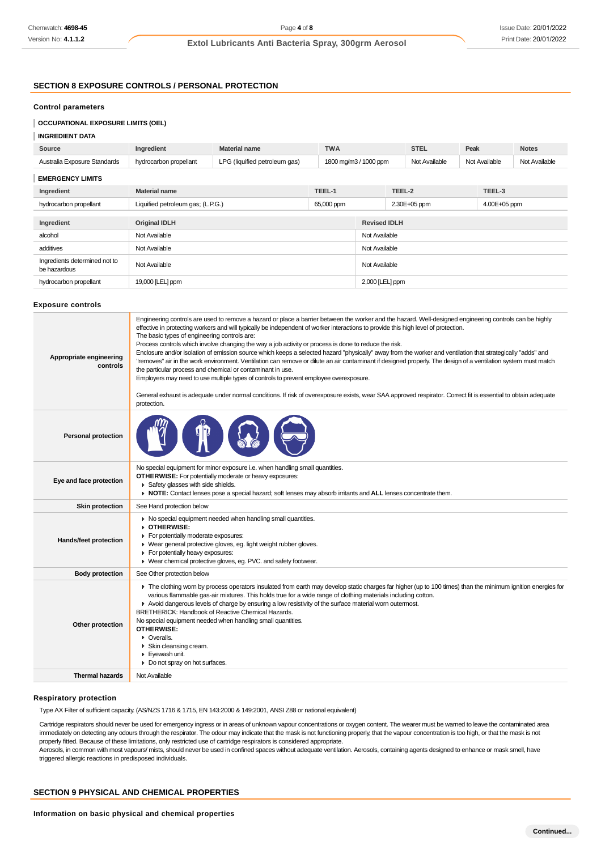### **SECTION 8 EXPOSURE CONTROLS / PERSONAL PROTECTION**

## **Control parameters**

### **OCCUPATIONAL EXPOSURE LIMITS (OEL)**

### **INGREDIENT DATA**

| Source                       | Ingredient                        | <b>Material name</b>          | <b>TWA</b> |                       | <b>STEL</b>   | Peak          | <b>Notes</b>  |
|------------------------------|-----------------------------------|-------------------------------|------------|-----------------------|---------------|---------------|---------------|
| Australia Exposure Standards | hydrocarbon propellant            | LPG (liquified petroleum gas) |            | 1800 mg/m3 / 1000 ppm | Not Available | Not Available | Not Available |
| <b>EMERGENCY LIMITS</b>      |                                   |                               |            |                       |               |               |               |
| Ingredient                   | <b>Material name</b>              |                               | TEEL-1     | TEEL-2                |               | TEEL-3        |               |
| hydrocarbon propellant       | Liquified petroleum gas; (L.P.G.) |                               | 65,000 ppm |                       | 2.30E+05 ppm  | 4.00E+05 ppm  |               |
|                              |                                   |                               |            |                       |               |               |               |
| Ingredient                   | <b>Original IDLH</b>              |                               |            | <b>Revised IDLH</b>   |               |               |               |

2,000 [LEL] ppm

| additives                                     | Not Available    | Not Available    |
|-----------------------------------------------|------------------|------------------|
| Ingredients determined not to<br>be hazardous | Not Available    | Not Available    |
| hydrocarbon propellant                        | 19,000 [LEL] ppm | $2,000$ [LEL] pr |

alcohol Not Available Not Available

#### **Exposure controls**

| Appropriate engineering<br>controls | Engineering controls are used to remove a hazard or place a barrier between the worker and the hazard. Well-designed engineering controls can be highly<br>effective in protecting workers and will typically be independent of worker interactions to provide this high level of protection.<br>The basic types of engineering controls are:<br>Process controls which involve changing the way a job activity or process is done to reduce the risk.<br>Enclosure and/or isolation of emission source which keeps a selected hazard "physically" away from the worker and ventilation that strategically "adds" and<br>"removes" air in the work environment. Ventilation can remove or dilute an air contaminant if designed properly. The design of a ventilation system must match<br>the particular process and chemical or contaminant in use.<br>Employers may need to use multiple types of controls to prevent employee overexposure.<br>General exhaust is adequate under normal conditions. If risk of overexposure exists, wear SAA approved respirator. Correct fit is essential to obtain adequate<br>protection. |
|-------------------------------------|----------------------------------------------------------------------------------------------------------------------------------------------------------------------------------------------------------------------------------------------------------------------------------------------------------------------------------------------------------------------------------------------------------------------------------------------------------------------------------------------------------------------------------------------------------------------------------------------------------------------------------------------------------------------------------------------------------------------------------------------------------------------------------------------------------------------------------------------------------------------------------------------------------------------------------------------------------------------------------------------------------------------------------------------------------------------------------------------------------------------------------|
| <b>Personal protection</b>          |                                                                                                                                                                                                                                                                                                                                                                                                                                                                                                                                                                                                                                                                                                                                                                                                                                                                                                                                                                                                                                                                                                                                  |
| Eye and face protection             | No special equipment for minor exposure i.e. when handling small quantities.<br>OTHERWISE: For potentially moderate or heavy exposures:<br>Safety glasses with side shields.<br>▶ NOTE: Contact lenses pose a special hazard; soft lenses may absorb irritants and ALL lenses concentrate them.                                                                                                                                                                                                                                                                                                                                                                                                                                                                                                                                                                                                                                                                                                                                                                                                                                  |
| Skin protection                     | See Hand protection below                                                                                                                                                                                                                                                                                                                                                                                                                                                                                                                                                                                                                                                                                                                                                                                                                                                                                                                                                                                                                                                                                                        |
| Hands/feet protection               | • No special equipment needed when handling small quantities.<br>▶ OTHERWISE:<br>For potentially moderate exposures:<br>▶ Wear general protective gloves, eg. light weight rubber gloves.<br>For potentially heavy exposures:<br>▶ Wear chemical protective gloves, eg. PVC. and safety footwear.                                                                                                                                                                                                                                                                                                                                                                                                                                                                                                                                                                                                                                                                                                                                                                                                                                |
| <b>Body protection</b>              | See Other protection below                                                                                                                                                                                                                                                                                                                                                                                                                                                                                                                                                                                                                                                                                                                                                                                                                                                                                                                                                                                                                                                                                                       |
| Other protection                    | The clothing worn by process operators insulated from earth may develop static charges far higher (up to 100 times) than the minimum ignition energies for<br>various flammable gas-air mixtures. This holds true for a wide range of clothing materials including cotton.<br>Avoid dangerous levels of charge by ensuring a low resistivity of the surface material worn outermost.<br>BRETHERICK: Handbook of Reactive Chemical Hazards.<br>No special equipment needed when handling small quantities.<br><b>OTHERWISE:</b><br>• Overalls.<br>Skin cleansing cream.<br>Eyewash unit.<br>• Do not spray on hot surfaces.                                                                                                                                                                                                                                                                                                                                                                                                                                                                                                       |
| <b>Thermal hazards</b>              | Not Available                                                                                                                                                                                                                                                                                                                                                                                                                                                                                                                                                                                                                                                                                                                                                                                                                                                                                                                                                                                                                                                                                                                    |
|                                     |                                                                                                                                                                                                                                                                                                                                                                                                                                                                                                                                                                                                                                                                                                                                                                                                                                                                                                                                                                                                                                                                                                                                  |

#### **Respiratory protection**

Type AX Filter of sufficient capacity. (AS/NZS 1716 & 1715, EN 143:2000 & 149:2001, ANSI Z88 or national equivalent)

Cartridge respirators should never be used for emergency ingress or in areas of unknown vapour concentrations or oxygen content. The wearer must be warned to leave the contaminated area immediately on detecting any odours through the respirator. The odour may indicate that the mask is not functioning properly, that the vapour concentration is too high, or that the mask is not properly fitted. Because of these limitations, only restricted use of cartridge respirators is considered appropriate.

Aerosols, in common with most vapours/ mists, should never be used in confined spaces without adequate ventilation. Aerosols, containing agents designed to enhance or mask smell, have triggered allergic reactions in predisposed individuals.

### **SECTION 9 PHYSICAL AND CHEMICAL PROPERTIES**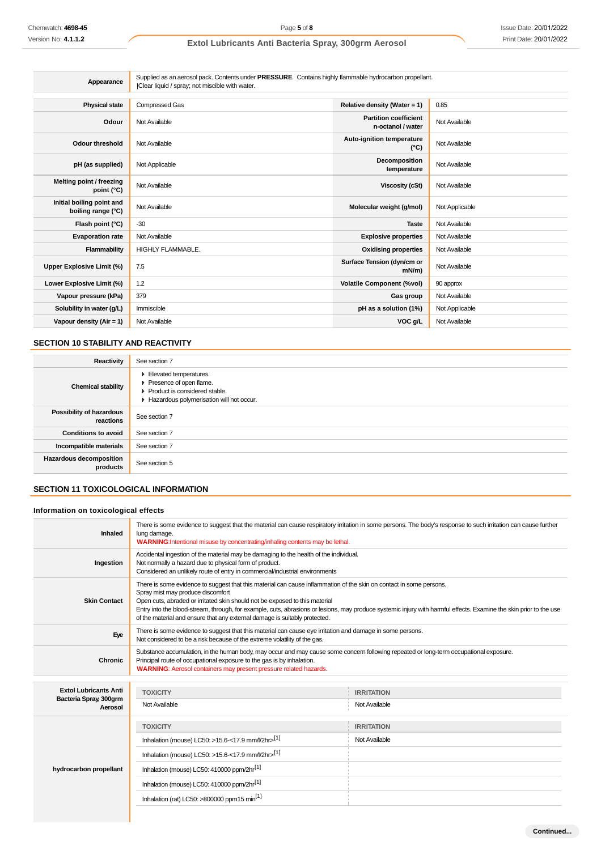| Appearance                                      | Supplied as an aerosol pack. Contents under PRESSURE. Contains highly flammable hydrocarbon propellant.<br>Clear liquid / spray; not miscible with water. |                                                   |                |
|-------------------------------------------------|-----------------------------------------------------------------------------------------------------------------------------------------------------------|---------------------------------------------------|----------------|
| <b>Physical state</b>                           | Compressed Gas                                                                                                                                            | Relative density (Water = 1)                      | 0.85           |
| Odour                                           | Not Available                                                                                                                                             | <b>Partition coefficient</b><br>n-octanol / water | Not Available  |
| <b>Odour threshold</b>                          | Not Available                                                                                                                                             | Auto-ignition temperature<br>$(^{\circ}C)$        | Not Available  |
| pH (as supplied)                                | Not Applicable                                                                                                                                            | Decomposition<br>temperature                      | Not Available  |
| Melting point / freezing<br>point (°C)          | Not Available                                                                                                                                             | <b>Viscosity (cSt)</b>                            | Not Available  |
| Initial boiling point and<br>boiling range (°C) | Not Available                                                                                                                                             | Molecular weight (g/mol)                          | Not Applicable |
| Flash point (°C)                                | $-30$                                                                                                                                                     | <b>Taste</b>                                      | Not Available  |
| <b>Evaporation rate</b>                         | Not Available                                                                                                                                             | <b>Explosive properties</b>                       | Not Available  |
| Flammability                                    | <b>HIGHLY FLAMMABLE.</b>                                                                                                                                  | <b>Oxidising properties</b>                       | Not Available  |
| Upper Explosive Limit (%)                       | 7.5                                                                                                                                                       | Surface Tension (dyn/cm or<br>$mN/m$ )            | Not Available  |
| Lower Explosive Limit (%)                       | 1.2                                                                                                                                                       | <b>Volatile Component (%vol)</b>                  | 90 approx      |
| Vapour pressure (kPa)                           | 379                                                                                                                                                       | Gas group                                         | Not Available  |
| Solubility in water (g/L)                       | Immiscible                                                                                                                                                | pH as a solution (1%)                             | Not Applicable |
| Vapour density (Air = 1)                        | Not Available                                                                                                                                             | VOC g/L                                           | Not Available  |

### **SECTION 10 STABILITY AND REACTIVITY**

| Reactivity                                 | See section 7                                                                                                                    |
|--------------------------------------------|----------------------------------------------------------------------------------------------------------------------------------|
| <b>Chemical stability</b>                  | Elevated temperatures.<br>Presence of open flame.<br>▶ Product is considered stable.<br>Hazardous polymerisation will not occur. |
| Possibility of hazardous<br>reactions      | See section 7                                                                                                                    |
| <b>Conditions to avoid</b>                 | See section 7                                                                                                                    |
| Incompatible materials                     | See section 7                                                                                                                    |
| <b>Hazardous decomposition</b><br>products | See section 5                                                                                                                    |

## **SECTION 11 TOXICOLOGICAL INFORMATION**

## **Information on toxicological effects**

| lung damage.                                                              | There is some evidence to suggest that the material can cause respiratory irritation in some persons. The body's response to such irritation can cause further                                                                                                                                                                                                                                                                                                                                                                                                                                                                                                                                                                                                                                                                                                               |
|---------------------------------------------------------------------------|------------------------------------------------------------------------------------------------------------------------------------------------------------------------------------------------------------------------------------------------------------------------------------------------------------------------------------------------------------------------------------------------------------------------------------------------------------------------------------------------------------------------------------------------------------------------------------------------------------------------------------------------------------------------------------------------------------------------------------------------------------------------------------------------------------------------------------------------------------------------------|
| Not normally a hazard due to physical form of product.                    |                                                                                                                                                                                                                                                                                                                                                                                                                                                                                                                                                                                                                                                                                                                                                                                                                                                                              |
| Spray mist may produce discomfort                                         | Entry into the blood-stream, through, for example, cuts, abrasions or lesions, may produce systemic injury with harmful effects. Examine the skin prior to the use                                                                                                                                                                                                                                                                                                                                                                                                                                                                                                                                                                                                                                                                                                           |
| Not considered to be a risk because of the extreme volatility of the gas. |                                                                                                                                                                                                                                                                                                                                                                                                                                                                                                                                                                                                                                                                                                                                                                                                                                                                              |
| Principal route of occupational exposure to the gas is by inhalation.     |                                                                                                                                                                                                                                                                                                                                                                                                                                                                                                                                                                                                                                                                                                                                                                                                                                                                              |
|                                                                           |                                                                                                                                                                                                                                                                                                                                                                                                                                                                                                                                                                                                                                                                                                                                                                                                                                                                              |
| <b>TOXICITY</b>                                                           | <b>IRRITATION</b>                                                                                                                                                                                                                                                                                                                                                                                                                                                                                                                                                                                                                                                                                                                                                                                                                                                            |
| Not Available                                                             | Not Available                                                                                                                                                                                                                                                                                                                                                                                                                                                                                                                                                                                                                                                                                                                                                                                                                                                                |
| <b>TOXICITY</b>                                                           | <b>IRRITATION</b>                                                                                                                                                                                                                                                                                                                                                                                                                                                                                                                                                                                                                                                                                                                                                                                                                                                            |
| Inhalation (mouse) LC50: >15.6-<17.9 mm/l/2hr> $^{[1]}$                   | Not Available                                                                                                                                                                                                                                                                                                                                                                                                                                                                                                                                                                                                                                                                                                                                                                                                                                                                |
| Inhalation (mouse) LC50: >15.6-<17.9 mm/l/2hr>[1]                         |                                                                                                                                                                                                                                                                                                                                                                                                                                                                                                                                                                                                                                                                                                                                                                                                                                                                              |
| Inhalation (mouse) LC50: 410000 ppm/2hr <sup>[1]</sup>                    |                                                                                                                                                                                                                                                                                                                                                                                                                                                                                                                                                                                                                                                                                                                                                                                                                                                                              |
| Inhalation (mouse) LC50: 410000 ppm/2hr <sup>[1]</sup>                    |                                                                                                                                                                                                                                                                                                                                                                                                                                                                                                                                                                                                                                                                                                                                                                                                                                                                              |
| Inhalation (rat) LC50: >800000 ppm15 min <sup>[1]</sup>                   |                                                                                                                                                                                                                                                                                                                                                                                                                                                                                                                                                                                                                                                                                                                                                                                                                                                                              |
|                                                                           | WARNING: Intentional misuse by concentrating/inhaling contents may be lethal.<br>Accidental ingestion of the material may be damaging to the health of the individual.<br>Considered an unlikely route of entry in commercial/industrial environments<br>There is some evidence to suggest that this material can cause inflammation of the skin on contact in some persons.<br>Open cuts, abraded or irritated skin should not be exposed to this material<br>of the material and ensure that any external damage is suitably protected.<br>There is some evidence to suggest that this material can cause eye irritation and damage in some persons.<br>Substance accumulation, in the human body, may occur and may cause some concern following repeated or long-term occupational exposure.<br><b>WARNING:</b> Aerosol containers may present pressure related hazards. |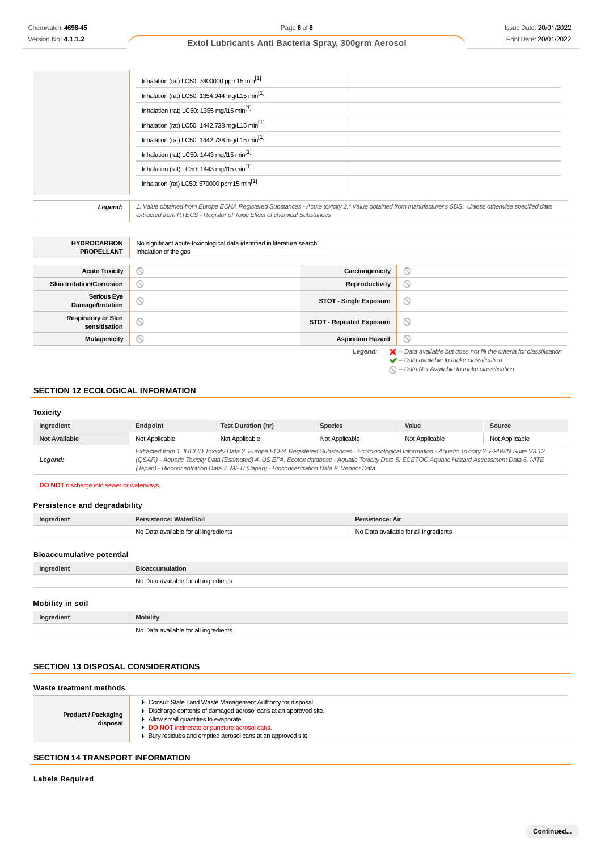| Inhalation (rat) LC50: >800000 ppm15 min <sup>[1]</sup>   |
|-----------------------------------------------------------|
| Inhalation (rat) LC50: 1354.944 mg/L15 min <sup>[1]</sup> |
| Inhalation (rat) LC50: 1355 mg/l15 min <sup>[1]</sup>     |
| Inhalation (rat) LC50: 1442.738 mg/L15 min <sup>[1]</sup> |
| Inhalation (rat) LC50: 1442.738 mg/L15 min <sup>[1]</sup> |
| Inhalation (rat) LC50: 1443 mg/l15 min <sup>[1]</sup>     |
| Inhalation (rat) LC50: 1443 mg/l15 min <sup>[1]</sup>     |
| Inhalation (rat) LC50: 570000 ppm15 min <sup>[1]</sup>    |
|                                                           |

| Inhalation (rat) LC50: >800000 ppm15 min <sup>[1]</sup><br>Inhalation (rat) LC50: 1354.944 mg/L15 min <sup>[1]</sup><br>Inhalation (rat) LC50: 1355 mg/l15 min <sup>[1]</sup><br>Inhalation (rat) LC50: 1442.738 mg/L15 min <sup>[1]</sup><br>Inhalation (rat) LC50: 1442.738 mg/L15 min <sup>[1]</sup><br>Inhalation (rat) LC50: 1443 mg/l15 min <sup>[1]</sup><br>Inhalation (rat) LC50: 1443 mg/l15 min <sup>[1]</sup><br>Inhalation (rat) LC50: 570000 ppm15 min <sup>[1]</sup><br>extracted from RTECS - Register of Toxic Effect of chemical Substances<br>No significant acute toxicological data identified in literature search.<br>inhalation of the gas | Extol Lubricants Anti Bacteria Spray, 300grm Aerosol<br>1. Value obtained from Europe ECHA Registered Substances - Acute toxicity 2.* Value obtained from manufacturer's SDS. Unless otherwise specified data<br>Carcinogenicity<br><b>Reproductivity</b> | $\circledcirc$                        | Print Date: 20/01/202                                                                                                                                                                                                                           |
|--------------------------------------------------------------------------------------------------------------------------------------------------------------------------------------------------------------------------------------------------------------------------------------------------------------------------------------------------------------------------------------------------------------------------------------------------------------------------------------------------------------------------------------------------------------------------------------------------------------------------------------------------------------------|-----------------------------------------------------------------------------------------------------------------------------------------------------------------------------------------------------------------------------------------------------------|---------------------------------------|-------------------------------------------------------------------------------------------------------------------------------------------------------------------------------------------------------------------------------------------------|
|                                                                                                                                                                                                                                                                                                                                                                                                                                                                                                                                                                                                                                                                    |                                                                                                                                                                                                                                                           |                                       |                                                                                                                                                                                                                                                 |
|                                                                                                                                                                                                                                                                                                                                                                                                                                                                                                                                                                                                                                                                    |                                                                                                                                                                                                                                                           |                                       |                                                                                                                                                                                                                                                 |
|                                                                                                                                                                                                                                                                                                                                                                                                                                                                                                                                                                                                                                                                    |                                                                                                                                                                                                                                                           |                                       |                                                                                                                                                                                                                                                 |
|                                                                                                                                                                                                                                                                                                                                                                                                                                                                                                                                                                                                                                                                    |                                                                                                                                                                                                                                                           |                                       |                                                                                                                                                                                                                                                 |
|                                                                                                                                                                                                                                                                                                                                                                                                                                                                                                                                                                                                                                                                    |                                                                                                                                                                                                                                                           |                                       |                                                                                                                                                                                                                                                 |
|                                                                                                                                                                                                                                                                                                                                                                                                                                                                                                                                                                                                                                                                    |                                                                                                                                                                                                                                                           |                                       |                                                                                                                                                                                                                                                 |
|                                                                                                                                                                                                                                                                                                                                                                                                                                                                                                                                                                                                                                                                    |                                                                                                                                                                                                                                                           |                                       |                                                                                                                                                                                                                                                 |
|                                                                                                                                                                                                                                                                                                                                                                                                                                                                                                                                                                                                                                                                    |                                                                                                                                                                                                                                                           |                                       |                                                                                                                                                                                                                                                 |
|                                                                                                                                                                                                                                                                                                                                                                                                                                                                                                                                                                                                                                                                    |                                                                                                                                                                                                                                                           |                                       |                                                                                                                                                                                                                                                 |
|                                                                                                                                                                                                                                                                                                                                                                                                                                                                                                                                                                                                                                                                    |                                                                                                                                                                                                                                                           |                                       |                                                                                                                                                                                                                                                 |
|                                                                                                                                                                                                                                                                                                                                                                                                                                                                                                                                                                                                                                                                    |                                                                                                                                                                                                                                                           |                                       |                                                                                                                                                                                                                                                 |
|                                                                                                                                                                                                                                                                                                                                                                                                                                                                                                                                                                                                                                                                    |                                                                                                                                                                                                                                                           |                                       |                                                                                                                                                                                                                                                 |
|                                                                                                                                                                                                                                                                                                                                                                                                                                                                                                                                                                                                                                                                    |                                                                                                                                                                                                                                                           |                                       |                                                                                                                                                                                                                                                 |
|                                                                                                                                                                                                                                                                                                                                                                                                                                                                                                                                                                                                                                                                    |                                                                                                                                                                                                                                                           |                                       |                                                                                                                                                                                                                                                 |
|                                                                                                                                                                                                                                                                                                                                                                                                                                                                                                                                                                                                                                                                    |                                                                                                                                                                                                                                                           | $\circledcirc$                        |                                                                                                                                                                                                                                                 |
|                                                                                                                                                                                                                                                                                                                                                                                                                                                                                                                                                                                                                                                                    | <b>STOT - Single Exposure</b>                                                                                                                                                                                                                             | $\circ$                               |                                                                                                                                                                                                                                                 |
|                                                                                                                                                                                                                                                                                                                                                                                                                                                                                                                                                                                                                                                                    | <b>STOT - Repeated Exposure</b>                                                                                                                                                                                                                           | $\circ$                               |                                                                                                                                                                                                                                                 |
|                                                                                                                                                                                                                                                                                                                                                                                                                                                                                                                                                                                                                                                                    |                                                                                                                                                                                                                                                           | $\circledcirc$                        |                                                                                                                                                                                                                                                 |
| <b>Test Duration (hr)</b>                                                                                                                                                                                                                                                                                                                                                                                                                                                                                                                                                                                                                                          | <b>Species</b>                                                                                                                                                                                                                                            | Value                                 | <b>Source</b>                                                                                                                                                                                                                                   |
| Not Applicable                                                                                                                                                                                                                                                                                                                                                                                                                                                                                                                                                                                                                                                     | Not Applicable                                                                                                                                                                                                                                            | Not Applicable                        | Not Applicable                                                                                                                                                                                                                                  |
|                                                                                                                                                                                                                                                                                                                                                                                                                                                                                                                                                                                                                                                                    | Extracted from 1. IUCLID Toxicity Data 2. Europe ECHA Registered Substances - Ecotoxicological Information - Aquatic Toxicity 3. EPIWIN Suite V3.12                                                                                                       |                                       |                                                                                                                                                                                                                                                 |
|                                                                                                                                                                                                                                                                                                                                                                                                                                                                                                                                                                                                                                                                    | (QSAR) - Aquatic Toxicity Data (Estimated) 4. US EPA, Ecotox database - Aquatic Toxicity Data 5. ECETOC Aquatic Hazard Assessment Data 6. NITE                                                                                                            |                                       |                                                                                                                                                                                                                                                 |
| (Japan) - Bioconcentration Data 7. METI (Japan) - Bioconcentration Data 8. Vendor Data                                                                                                                                                                                                                                                                                                                                                                                                                                                                                                                                                                             |                                                                                                                                                                                                                                                           |                                       |                                                                                                                                                                                                                                                 |
|                                                                                                                                                                                                                                                                                                                                                                                                                                                                                                                                                                                                                                                                    |                                                                                                                                                                                                                                                           |                                       |                                                                                                                                                                                                                                                 |
| Persistence: Water/Soil                                                                                                                                                                                                                                                                                                                                                                                                                                                                                                                                                                                                                                            | Persistence: Air                                                                                                                                                                                                                                          |                                       |                                                                                                                                                                                                                                                 |
| No Data available for all ingredients                                                                                                                                                                                                                                                                                                                                                                                                                                                                                                                                                                                                                              |                                                                                                                                                                                                                                                           | No Data available for all ingredients |                                                                                                                                                                                                                                                 |
|                                                                                                                                                                                                                                                                                                                                                                                                                                                                                                                                                                                                                                                                    |                                                                                                                                                                                                                                                           |                                       |                                                                                                                                                                                                                                                 |
|                                                                                                                                                                                                                                                                                                                                                                                                                                                                                                                                                                                                                                                                    |                                                                                                                                                                                                                                                           |                                       |                                                                                                                                                                                                                                                 |
| <b>Bioaccumulation</b>                                                                                                                                                                                                                                                                                                                                                                                                                                                                                                                                                                                                                                             |                                                                                                                                                                                                                                                           |                                       |                                                                                                                                                                                                                                                 |
| No Data available for all ingredients                                                                                                                                                                                                                                                                                                                                                                                                                                                                                                                                                                                                                              |                                                                                                                                                                                                                                                           |                                       |                                                                                                                                                                                                                                                 |
|                                                                                                                                                                                                                                                                                                                                                                                                                                                                                                                                                                                                                                                                    |                                                                                                                                                                                                                                                           |                                       |                                                                                                                                                                                                                                                 |
|                                                                                                                                                                                                                                                                                                                                                                                                                                                                                                                                                                                                                                                                    | <b>SECTION 12 ECOLOGICAL INFORMATION</b><br>Not Applicable                                                                                                                                                                                                | Legend:                               | <b>Aspiration Hazard</b><br>$\blacktriangleright$ - Data available but does not fill the criteria for classification<br>$\blacktriangleright$ - Data available to make classification<br>$\bigcirc$ – Data Not Available to make classification |

# **SECTION 12 ECOLOGICAL INFORMATION**

#### **Toxicity**

| Ingredient           | Endpoint       | Test Duration (hr)                                                                                                                                                                                                                                                                                                                                                                              | <b>Species</b> | Value          | Source         |
|----------------------|----------------|-------------------------------------------------------------------------------------------------------------------------------------------------------------------------------------------------------------------------------------------------------------------------------------------------------------------------------------------------------------------------------------------------|----------------|----------------|----------------|
| <b>Not Available</b> | Not Applicable | Not Applicable                                                                                                                                                                                                                                                                                                                                                                                  | Not Applicable | Not Applicable | Not Applicable |
| Legend:              |                | Extracted from 1. IUCLID Toxicity Data 2. Europe ECHA Registered Substances - Ecotoxicological Information - Aquatic Toxicity 3. EPIWIN Suite V3.12<br>(QSAR) - Aquatic Toxicity Data (Estimated) 4. US EPA, Ecotox database - Aquatic Toxicity Data 5. ECETOC Aquatic Hazard Assessment Data 6. NITE<br>(Japan) - Bioconcentration Data 7. METI (Japan) - Bioconcentration Data 8. Vendor Data |                |                |                |

#### **DO NOT** discharge into sewer or waterways.

### **Persistence and degradability**

| Ingredient | Persistence: Water/Soil               | Persistence: Air                      |
|------------|---------------------------------------|---------------------------------------|
|            | No Data available for all ingredients | No Data available for all ingredients |
|            |                                       |                                       |

### **Bioaccumulative potential**

| Ingredient       | <b>Bioaccumulation</b>                |
|------------------|---------------------------------------|
|                  | No Data available for all ingredients |
|                  |                                       |
| Mobility in soil |                                       |
| Ingredient       | <b>Mobility</b>                       |

### **SECTION 13 DISPOSAL CONSIDERATIONS**

#### **Waste treatment methods**

| • Consult State Land Waste Management Authority for disposal.<br>Discharge contents of damaged aerosol cans at an approved site.<br><b>Product / Packaging</b><br>Allow small quantities to evaporate.<br>disposal<br>DO NOT incinerate or puncture aerosol cans.<br>▶ Bury residues and emptied aerosol cans at an approved site. |  |
|------------------------------------------------------------------------------------------------------------------------------------------------------------------------------------------------------------------------------------------------------------------------------------------------------------------------------------|--|
|------------------------------------------------------------------------------------------------------------------------------------------------------------------------------------------------------------------------------------------------------------------------------------------------------------------------------------|--|

## **SECTION 14 TRANSPORT INFORMATION**

**Labels Required**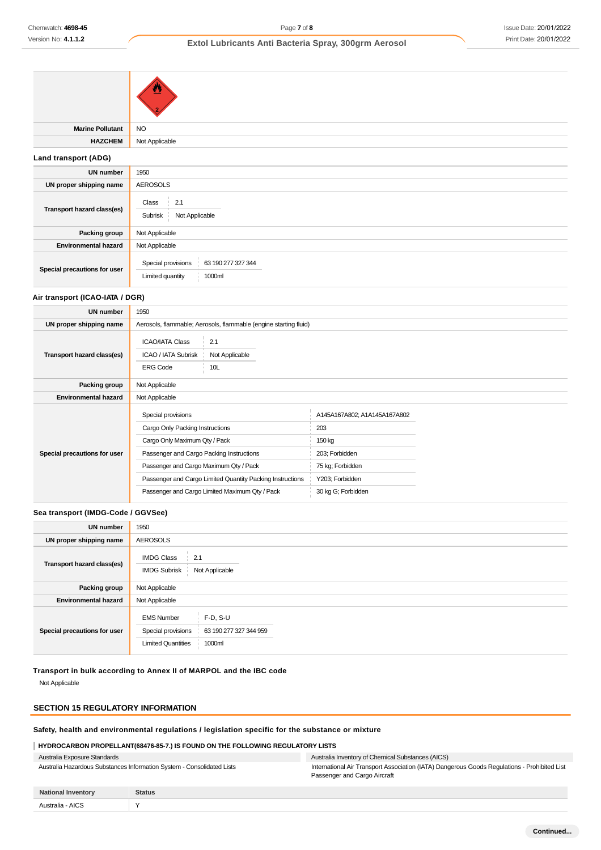| <b>Marine Pollutant</b>      | <b>NO</b>                                                              |  |
|------------------------------|------------------------------------------------------------------------|--|
| <b>HAZCHEM</b>               | Not Applicable                                                         |  |
| Land transport (ADG)         |                                                                        |  |
| <b>UN number</b>             | 1950                                                                   |  |
| UN proper shipping name      | <b>AEROSOLS</b>                                                        |  |
| Transport hazard class(es)   | Class<br>2.1<br>$\mathbb{R}^n$<br>Subrisk<br>Not Applicable            |  |
| Packing group                | Not Applicable                                                         |  |
| <b>Environmental hazard</b>  | Not Applicable                                                         |  |
| Special precautions for user | Special provisions<br>63 190 277 327 344<br>Limited quantity<br>1000ml |  |

### **Air transport (ICAO-IATA / DGR)**

| <b>UN number</b>             | 1950                                                                                                                                                                                                                                                                                        |                                                                                                                              |  |
|------------------------------|---------------------------------------------------------------------------------------------------------------------------------------------------------------------------------------------------------------------------------------------------------------------------------------------|------------------------------------------------------------------------------------------------------------------------------|--|
| UN proper shipping name      | Aerosols, flammable; Aerosols, flammable (engine starting fluid)                                                                                                                                                                                                                            |                                                                                                                              |  |
| Transport hazard class(es)   | <b>ICAO/IATA Class</b><br>2.1<br>ICAO / IATA Subrisk<br>Not Applicable<br>10L<br><b>ERG Code</b>                                                                                                                                                                                            |                                                                                                                              |  |
| Packing group                | Not Applicable                                                                                                                                                                                                                                                                              |                                                                                                                              |  |
| <b>Environmental hazard</b>  | Not Applicable                                                                                                                                                                                                                                                                              |                                                                                                                              |  |
| Special precautions for user | Special provisions<br>Cargo Only Packing Instructions<br>Cargo Only Maximum Qty / Pack<br>Passenger and Cargo Packing Instructions<br>Passenger and Cargo Maximum Qty / Pack<br>Passenger and Cargo Limited Quantity Packing Instructions<br>Passenger and Cargo Limited Maximum Qty / Pack | A145A167A802; A1A145A167A802<br>203<br>150 kg<br>203; Forbidden<br>75 kg; Forbidden<br>Y203; Forbidden<br>30 kg G; Forbidden |  |

### **Sea transport (IMDG-Code / GGVSee)**

| <b>UN number</b>             | 1950                                                                 |                                                |  |  |
|------------------------------|----------------------------------------------------------------------|------------------------------------------------|--|--|
| UN proper shipping name      | <b>AEROSOLS</b>                                                      |                                                |  |  |
| Transport hazard class(es)   | <b>IMDG Class</b><br>2.1<br>Not Applicable<br><b>IMDG Subrisk</b>    |                                                |  |  |
| <b>Packing group</b>         | Not Applicable                                                       |                                                |  |  |
| <b>Environmental hazard</b>  | Not Applicable                                                       |                                                |  |  |
| Special precautions for user | <b>EMS Number</b><br>Special provisions<br><b>Limited Quantities</b> | $F-D, S-U$<br>63 190 277 327 344 959<br>1000ml |  |  |

**Transport in bulk according to Annex II of MARPOL and the IBC code** Not Applicable

#### **SECTION 15 REGULATORY INFORMATION**

## **Safety, health and environmental regulations / legislation specific for the substance or mixture**

### **HYDROCARBON PROPELLANT(68476-85-7.) IS FOUND ON THE FOLLOWING REGULATORY LISTS**

| Australia Exposure Standards                                           | Australia Inventory of Chemical Substances (AICS)                                                                            |
|------------------------------------------------------------------------|------------------------------------------------------------------------------------------------------------------------------|
| Australia Hazardous Substances Information System - Consolidated Lists | International Air Transport Association (IATA) Dangerous Goods Regulations - Prohibited List<br>Passenger and Cargo Aircraft |

| <b>National Inventory</b> | <b>Status</b> |
|---------------------------|---------------|
| · AICS<br>Australie       |               |